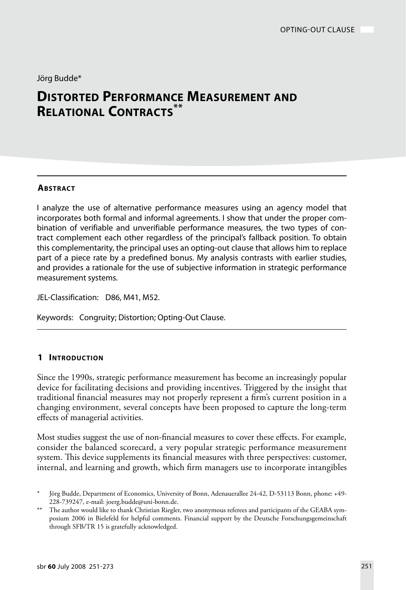Jörg Budde\*

### **Distorted Performance Measurement and Relational Contracts\*\***

#### **Abstract**

I analyze the use of alternative performance measures using an agency model that incorporates both formal and informal agreements. I show that under the proper combination of verifiable and unverifiable performance measures, the two types of contract complement each other regardless of the principal's fallback position. To obtain this complementarity, the principal uses an opting-out clause that allows him to replace part of a piece rate by a predefined bonus. My analysis contrasts with earlier studies, and provides a rationale for the use of subjective information in strategic performance measurement systems.

JEL-Classification: D86, M41, M52.

Keywords: Congruity; Distortion; Opting-Out Clause.

#### **1 Introduction**

Since the 1990s, strategic performance measurement has become an increasingly popular device for facilitating decisions and providing incentives. Triggered by the insight that traditional financial measures may not properly represent a firm's current position in a changing environment, several concepts have been proposed to capture the long-term effects of managerial activities.

Most studies suggest the use of non-financial measures to cover these effects. For example, consider the balanced scorecard, a very popular strategic performance measurement system. This device supplements its financial measures with three perspectives: customer, internal, and learning and growth, which firm managers use to incorporate intangibles

Jörg Budde, Department of Economics, University of Bonn, Adenauerallee 24-42, D-53113 Bonn, phone: +49-228-739247, e-mail: joerg.budde@uni-bonn.de.

<sup>\*\*</sup> The author would like to thank Christian Riegler, two anonymous referees and participants of the GEABA symposium 2006 in Bielefeld for helpful comments. Financial support by the Deutsche Forschungsgemeinschaft through SFB/TR 15 is gratefully acknowledged.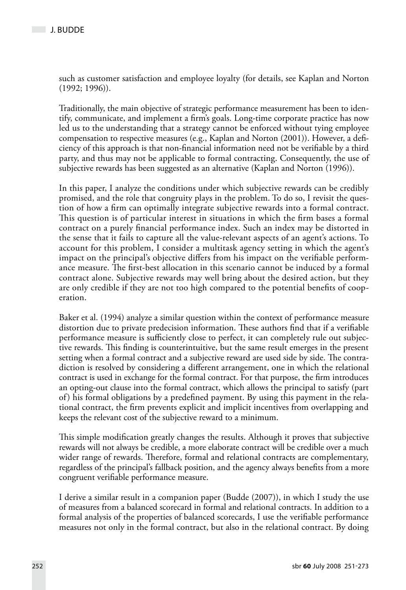such as customer satisfaction and employee loyalty (for details, see Kaplan and Norton (1992; 1996)).

Traditionally, the main objective of strategic performance measurement has been to identify, communicate, and implement a firm's goals. Long-time corporate practice has now led us to the understanding that a strategy cannot be enforced without tying employee compensation to respective measures (e.g., Kaplan and Norton (2001)). However, a deficiency of this approach is that non-financial information need not be verifiable by a third party, and thus may not be applicable to formal contracting. Consequently, the use of subjective rewards has been suggested as an alternative (Kaplan and Norton (1996)).

In this paper, I analyze the conditions under which subjective rewards can be credibly promised, and the role that congruity plays in the problem. To do so, I revisit the question of how a firm can optimally integrate subjective rewards into a formal contract. This question is of particular interest in situations in which the firm bases a formal contract on a purely financial performance index. Such an index may be distorted in the sense that it fails to capture all the value-relevant aspects of an agent's actions. To account for this problem, I consider a multitask agency setting in which the agent's impact on the principal's objective differs from his impact on the verifiable performance measure. The first-best allocation in this scenario cannot be induced by a formal contract alone. Subjective rewards may well bring about the desired action, but they are only credible if they are not too high compared to the potential benefits of cooperation.

Baker et al. (1994) analyze a similar question within the context of performance measure distortion due to private predecision information. These authors find that if a verifiable performance measure is sufficiently close to perfect, it can completely rule out subjective rewards. This finding is counterintuitive, but the same result emerges in the present setting when a formal contract and a subjective reward are used side by side. The contradiction is resolved by considering a different arrangement, one in which the relational contract is used in exchange for the formal contract. For that purpose, the firm introduces an opting-out clause into the formal contract, which allows the principal to satisfy (part of) his formal obligations by a predefined payment. By using this payment in the relational contract, the firm prevents explicit and implicit incentives from overlapping and keeps the relevant cost of the subjective reward to a minimum.

This simple modification greatly changes the results. Although it proves that subjective rewards will not always be credible, a more elaborate contract will be credible over a much wider range of rewards. Therefore, formal and relational contracts are complementary, regardless of the principal's fallback position, and the agency always benefits from a more congruent verifiable performance measure.

I derive a similar result in a companion paper (Budde (2007)), in which I study the use of measures from a balanced scorecard in formal and relational contracts. In addition to a formal analysis of the properties of balanced scorecards, I use the verifiable performance measures not only in the formal contract, but also in the relational contract. By doing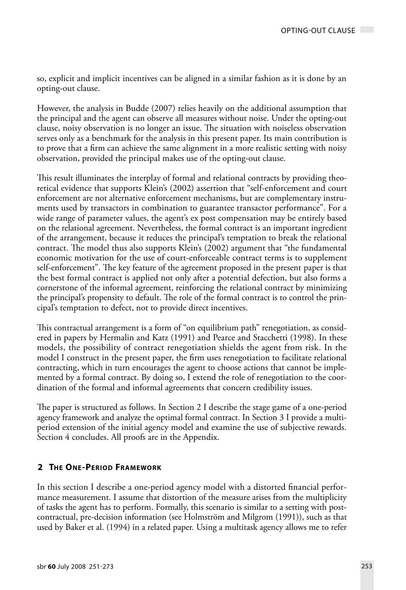so, explicit and implicit incentives can be aligned in a similar fashion as it is done by an opting-out clause.

However, the analysis in Budde (2007) relies heavily on the additional assumption that the principal and the agent can observe all measures without noise. Under the opting-out clause, noisy observation is no longer an issue. The situation with noiseless observation serves only as a benchmark for the analysis in this present paper. Its main contribution is to prove that a firm can achieve the same alignment in a more realistic setting with noisy observation, provided the principal makes use of the opting-out clause.

This result illuminates the interplay of formal and relational contracts by providing theoretical evidence that supports Klein's (2002) assertion that "self-enforcement and court enforcement are not alternative enforcement mechanisms, but are complementary instruments used by transactors in combination to guarantee transactor performance". For a wide range of parameter values, the agent's ex post compensation may be entirely based on the relational agreement. Nevertheless, the formal contract is an important ingredient of the arrangement, because it reduces the principal's temptation to break the relational contract. The model thus also supports Klein's (2002) argument that "the fundamental economic motivation for the use of court-enforceable contract terms is to supplement self-enforcement". The key feature of the agreement proposed in the present paper is that the best formal contract is applied not only after a potential defection, but also forms a cornerstone of the informal agreement, reinforcing the relational contract by minimizing the principal's propensity to default. The role of the formal contract is to control the principal's temptation to defect, not to provide direct incentives.

This contractual arrangement is a form of "on equilibrium path" renegotiation, as considered in papers by Hermalin and Katz (1991) and Pearce and Stacchetti (1998). In these models, the possibility of contract renegotiation shields the agent from risk. In the model I construct in the present paper, the firm uses renegotiation to facilitate relational contracting, which in turn encourages the agent to choose actions that cannot be implemented by a formal contract. By doing so, I extend the role of renegotiation to the coordination of the formal and informal agreements that concern credibility issues.

The paper is structured as follows. In Section 2 I describe the stage game of a one-period agency framework and analyze the optimal formal contract. In Section 3 I provide a multiperiod extension of the initial agency model and examine the use of subjective rewards. Section 4 concludes. All proofs are in the Appendix.

#### **2 The One-Period Framework**

In this section I describe a one-period agency model with a distorted financial performance measurement. I assume that distortion of the measure arises from the multiplicity of tasks the agent has to perform. Formally, this scenario is similar to a setting with postcontractual, pre-decision information (see Holmström and Milgrom (1991)), such as that used by Baker et al. (1994) in a related paper. Using a multitask agency allows me to refer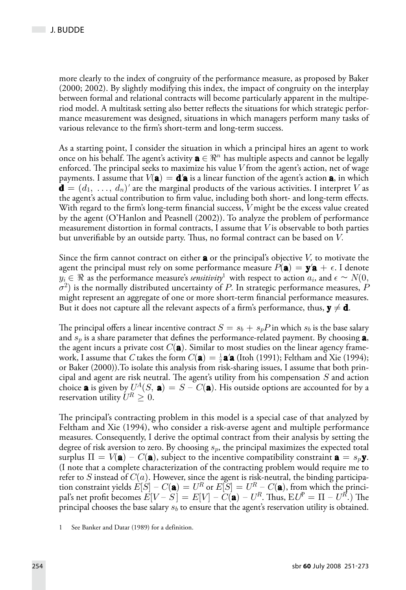more clearly to the index of congruity of the performance measure, as proposed by Baker (2000; 2002). By slightly modifying this index, the impact of congruity on the interplay between formal and relational contracts will become particularly apparent in the multiperiod model. A multitask setting also better reflects the situations for which strategic performance measurement was designed, situations in which managers perform many tasks of various relevance to the firm's short-term and long-term success.

As a starting point, I consider the situation in which a principal hires an agent to work once on his behalf. The agent's activity  $\mathbf{a} \in \mathbb{R}^n$  has multiple aspects and cannot be legally enforced. The principal seeks to maximize his value  $V$  from the agent's action, net of wage payments. I assume that  $V(\mathbf{a}) = \mathbf{d}'\mathbf{a}$  is a linear function of the agent's action **a**, in which  $\mathbf{d} = (d_1, \ldots, d_n)'$  are the marginal products of the various activities. I interpret V as the agent's actual contribution to firm value, including both short- and long-term effects. With regard to the firm's long-term financial success,  $\overline{V}$  might be the excess value created by the agent (O'Hanlon and Peasnell (2002)). To analyze the problem of performance measurement distortion in formal contracts, I assume that  $V$  is observable to both parties but unverifiable by an outside party. Thus, no formal contract can be based on V.

Since the firm cannot contract on either **a** or the principal's objective  $V$ , to motivate the agent the principal must rely on some performance measure  $P(\mathbf{a}) = \mathbf{y}'\mathbf{a} + \epsilon$ . I denote  $y_i \in \Re$  as the performance measure's *sensitivity*<sup>1</sup> with respect to action  $a_i$ , and  $\epsilon \sim N(0,$  $\sigma^2$ ) is the normally distributed uncertainty of P. In strategic performance measures, P might represent an aggregate of one or more short-term financial performance measures. But it does not capture all the relevant aspects of a firm's performance, thus,  $\mathbf{y} \neq \mathbf{d}$ .

The principal offers a linear incentive contract  $S = s_b + s_pP$  in which  $s_b$  is the base salary and  $s_p$  is a share parameter that defines the performance-related payment. By choosing **a**, the agent incurs a private cost  $C(\mathbf{a})$ . Similar to most studies on the linear agency framework, I assume that *C* takes the form  $C(\mathbf{a}) = \frac{1}{2}\mathbf{a}'\mathbf{a}$  (Itoh (1991); Feltham and Xie (1994); or Baker (2000)).To isolate this analysis from risk-sharing issues, I assume that both principal and agent are risk neutral. The agent's utility from his compensation  $S$  and action choice **a** is given by  $U^A(S, \mathbf{a}) = S - C(\mathbf{a})$ . His outside options are accounted for by a reservation utility  $U^R \geq 0$ .

The principal's contracting problem in this model is a special case of that analyzed by Feltham and Xie (1994), who consider a risk-averse agent and multiple performance measures. Consequently, I derive the optimal contract from their analysis by setting the degree of risk aversion to zero. By choosing  $s_p$ , the principal maximizes the expected total surplus  $\Pi = V(\mathbf{a}) - C(\mathbf{a})$ , subject to the incentive compatibility constraint  $\mathbf{a} = s_p \mathbf{y}$ . (I note that a complete characterization of the contracting problem would require me to refer to S instead of  $C(a)$ . However, since the agent is risk-neutral, the binding participation constraint yields  $E[S] - C(\mathbf{a}) = U^R$  or  $E[S] = U^R - C(\mathbf{a})$ , from which the principal's net profit becomes  $E[V - S] = E[V] - C(\mathbf{a}) - U^R$ . Thus,  $E U^P = \Pi - U^R$ .) The principal chooses the base salary  $s_b$  to ensure that the agent's reservation utility is obtained.

See Banker and Datar (1989) for a definition.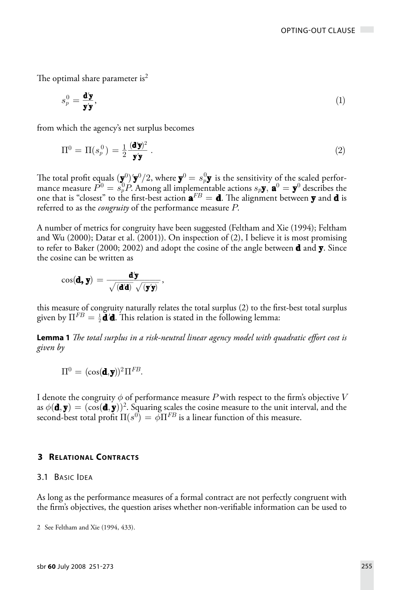The optimal share parameter is $2$ 

$$
s_p^0 = \frac{\mathbf{d}'\mathbf{y}}{\mathbf{y}'\mathbf{y}},\tag{1}
$$

from which the agency's net surplus becomes

$$
\Pi^0 = \Pi(s_p^0) = \frac{1}{2} \frac{(\mathbf{d}'\mathbf{y})^2}{\mathbf{y}'\mathbf{y}}.
$$
 (2)

The total profit equals  $(\bm{y}^0)\dot{\bm{y}}^0/2,$  where  $\bm{y}^0 = s_p^0\bm{y}$  is the sensitivity of the scaled performance measure  $P^0 = s_p^0 P$ . Among all implementable actions  $s_p \mathbf{y}, \mathbf{a}^0 = \mathbf{y}^0$  describes the one that is "closest" to the first-best action  $\mathbf{a}^{FB} = \mathbf{d}$ . The alignment between  $\mathbf{y}$  and  $\mathbf{d}$  is referred to as the *congruity* of the performance measure P.

A number of metrics for congruity have been suggested (Feltham and Xie (1994); Feltham and Wu (2000); Datar et al. (2001)). On inspection of (2), I believe it is most promising to refer to Baker (2000; 2002) and adopt the cosine of the angle between **d** and **y**. Since

the cosine can be written as  

$$
\cos(\mathbf{d}, \mathbf{y}) = \frac{\mathbf{d}'\mathbf{y}}{\sqrt{(\mathbf{d}'\mathbf{d})} \sqrt{(\mathbf{y}'\mathbf{y})}},
$$

this measure of congruity naturally relates the total surplus (2) to the first-best total surplus given by  $\Pi^{FB}=\frac{1}{2}\tilde{\mathbf{d}}'\mathbf{d}.$  This relation is stated in the following lemma:

**Lemma 1** *The total surplus in a risk-neutral linear agency model with quadratic effort cost is given by* 

$$
\Pi^0 = (\cos(\mathbf{d}, \mathbf{y}))^2 \Pi^{FB}.
$$

I denote the congruity  $\phi$  of performance measure P with respect to the firm's objective V as  $\phi(\mathbf{d}, \mathbf{y}) = (\cos(\mathbf{d}, \mathbf{y}))^2$ . Squaring scales the cosine measure to the unit interval, and the second-best total profit  $\Pi(s^0) = \phi \Pi^{FB}$  is a linear function of this measure.

#### **3 Relational Contracts**

#### 3.1 BASIC IDEA

As long as the performance measures of a formal contract are not perfectly congruent with the firm's objectives, the question arises whether non-verifiable information can be used to

<sup>2</sup> See Feltham and Xie (1994, 433).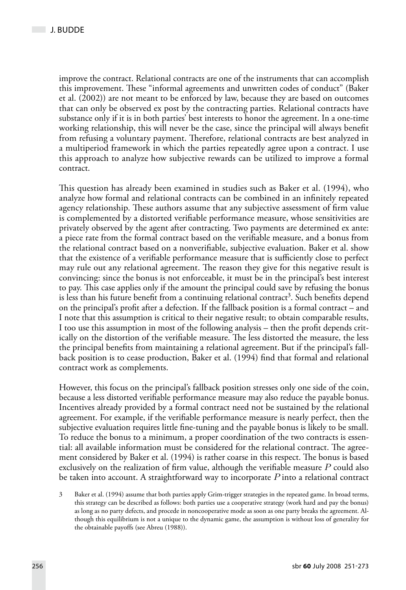improve the contract. Relational contracts are one of the instruments that can accomplish this improvement. These "informal agreements and unwritten codes of conduct" (Baker et al. (2002)) are not meant to be enforced by law, because they are based on outcomes that can only be observed ex post by the contracting parties. Relational contracts have substance only if it is in both parties' best interests to honor the agreement. In a one-time working relationship, this will never be the case, since the principal will always benefit from refusing a voluntary payment. Therefore, relational contracts are best analyzed in a multiperiod framework in which the parties repeatedly agree upon a contract. I use this approach to analyze how subjective rewards can be utilized to improve a formal contract.

This question has already been examined in studies such as Baker et al. (1994), who analyze how formal and relational contracts can be combined in an infinitely repeated agency relationship. These authors assume that any subjective assessment of firm value is complemented by a distorted verifiable performance measure, whose sensitivities are privately observed by the agent after contracting. Two payments are determined ex ante: a piece rate from the formal contract based on the verifiable measure, and a bonus from the relational contract based on a nonverifiable, subjective evaluation. Baker et al. show that the existence of a verifiable performance measure that is sufficiently close to perfect may rule out any relational agreement. The reason they give for this negative result is convincing: since the bonus is not enforceable, it must be in the principal's best interest to pay. This case applies only if the amount the principal could save by refusing the bonus is less than his future benefit from a continuing relational contract<sup>3</sup>. Such benefits depend on the principal's profit after a defection. If the fallback position is a formal contract – and I note that this assumption is critical to their negative result; to obtain comparable results, I too use this assumption in most of the following analysis – then the profit depends critically on the distortion of the verifiable measure. The less distorted the measure, the less the principal benefits from maintaining a relational agreement. But if the principal's fallback position is to cease production, Baker et al. (1994) find that formal and relational contract work as complements.

However, this focus on the principal's fallback position stresses only one side of the coin, because a less distorted verifiable performance measure may also reduce the payable bonus. Incentives already provided by a formal contract need not be sustained by the relational agreement. For example, if the verifiable performance measure is nearly perfect, then the subjective evaluation requires little fine-tuning and the payable bonus is likely to be small. To reduce the bonus to a minimum, a proper coordination of the two contracts is essential: all available information must be considered for the relational contract. The agreement considered by Baker et al. (1994) is rather coarse in this respect. The bonus is based exclusively on the realization of firm value, although the verifiable measure  $P$  could also be taken into account. A straightforward way to incorporate  $P$  into a relational contract

<sup>3</sup> Baker et al. (1994) assume that both parties apply Grim-trigger strategies in the repeated game. In broad terms, this strategy can be described as follows: both parties use a cooperative strategy (work hard and pay the bonus) as long as no party defects, and procede in noncooperative mode as soon as one party breaks the agreement. Although this equilibrium is not a unique to the dynamic game, the assumption is without loss of generality for the obtainable payoffs (see Abreu (1988)).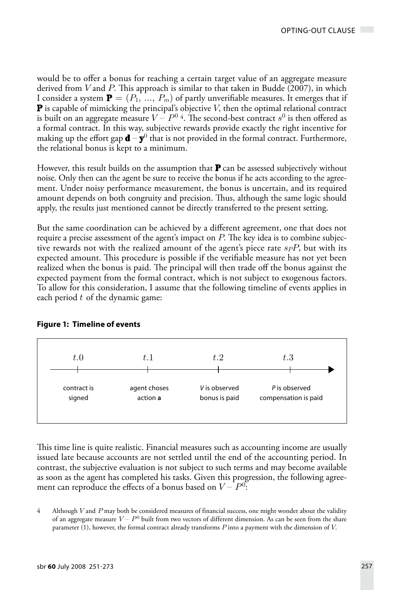would be to offer a bonus for reaching a certain target value of an aggregate measure derived from V and P. This approach is similar to that taken in Budde (2007), in which I consider a system  $\mathbf{P} = (P_1, ..., P_m)$  of partly unverifiable measures. It emerges that if **P** is capable of mimicking the principal's objective V, then the optimal relational contract is built on an aggregate measure  $V - P^{0.4}$ . The second-best contract  $s^{0}$  is then offered as a formal contract. In this way, subjective rewards provide exactly the right incentive for making up the effort gap  $\mathbf{d} - \mathbf{y}^0$  that is not provided in the formal contract. Furthermore, the relational bonus is kept to a minimum.

However, this result builds on the assumption that **P** can be assessed subjectively without noise. Only then can the agent be sure to receive the bonus if he acts according to the agreement. Under noisy performance measurement, the bonus is uncertain, and its required amount depends on both congruity and precision. Thus, although the same logic should apply, the results just mentioned cannot be directly transferred to the present setting.

But the same coordination can be achieved by a different agreement, one that does not require a precise assessment of the agent's impact on  $P$ . The key idea is to combine subjective rewards not with the realized amount of the agent's piece rate  $s_P P$ , but with its expected amount. This procedure is possible if the verifiable measure has not yet been realized when the bonus is paid. The principal will then trade off the bonus against the expected payment from the formal contract, which is not subject to exogenous factors. To allow for this consideration, I assume that the following timeline of events applies in each period  $t$  of the dynamic game:



#### **Figure 1: Timeline of events**

This time line is quite realistic. Financial measures such as accounting income are usually issued late because accounts are not settled until the end of the accounting period. In contrast, the subjective evaluation is not subject to such terms and may become available as soon as the agent has completed his tasks. Given this progression, the following agreement can reproduce the effects of a bonus based on  $V - P^0$ :

<sup>4</sup> Although V and  $P$  may both be considered measures of financial success, one might wonder about the validity of an aggregate measure  $V - P^0$  built from two vectors of different dimension. As can be seen from the share parameter (1), however, the formal contract already transforms P into a payment with the dimension of V.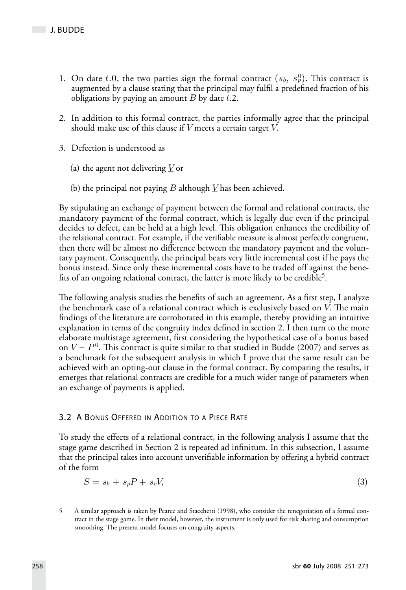- 1. On date t.0, the two parties sign the formal contract  $(s_b, s_p^0)$ . This contract is augmented by a clause stating that the principal may fulfil a predefined fraction of his obligations by paying an amount  $B$  by date  $t.2$ .
- 2. In addition to this formal contract, the parties informally agree that the principal should make use of this clause if  $V$  meets a certain target  $\underline{V}$ .
- 3. Defection is understood as
	- (a) the agent not delivering  *or*
	- (b) the principal not paying B although V has been achieved.

By stipulating an exchange of payment between the formal and relational contracts, the mandatory payment of the formal contract, which is legally due even if the principal decides to defect, can be held at a high level. This obligation enhances the credibility of the relational contract. For example, if the verifiable measure is almost perfectly congruent, then there will be almost no difference between the mandatory payment and the voluntary payment. Consequently, the principal bears very little incremental cost if he pays the bonus instead. Since only these incremental costs have to be traded off against the benefits of an ongoing relational contract, the latter is more likely to be credible<sup>5</sup>.

The following analysis studies the benefits of such an agreement. As a first step, I analyze the benchmark case of a relational contract which is exclusively based on V. The main findings of the literature are corroborated in this example, thereby providing an intuitive explanation in terms of the congruity index defined in section 2. I then turn to the more elaborate multistage agreement, first considering the hypothetical case of a bonus based on  $V - P<sup>0</sup>$ . This contract is quite similar to that studied in Budde (2007) and serves as a benchmark for the subsequent analysis in which I prove that the same result can be achieved with an opting-out clause in the formal contract. By comparing the results, it emerges that relational contracts are credible for a much wider range of parameters when an exchange of payments is applied.

#### 3.2 A Bonus Offered in Addition to a Piece Rate

To study the effects of a relational contract, in the following analysis I assume that the stage game described in Section 2 is repeated ad infinitum. In this subsection, I assume that the principal takes into account unverifiable information by offering a hybrid contract of the form

$$
S = s_b + s_p P + s_v V,\tag{3}
$$

5 A similar approach is taken by Pearce and Stacchetti (1998), who consider the renegotiation of a formal contract in the stage game. In their model, however, the instrument is only used for risk sharing and consumption smoothing. The present model focuses on congruity aspects.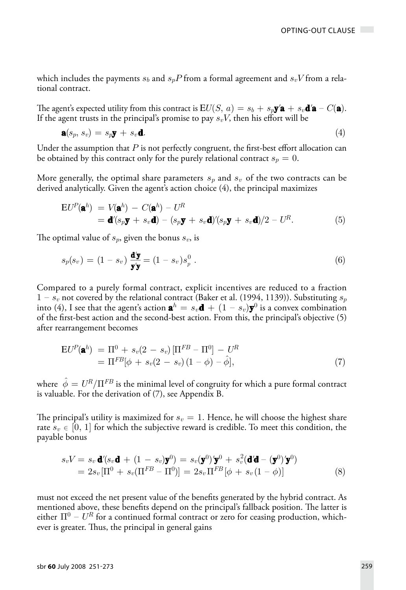which includes the payments  $s_b$  and  $s_pP$  from a formal agreement and  $s_vV$  from a relational contract.

The agent's expected utility from this contract is  $EU(S, a) = s_b + s_p \mathbf{y}'\mathbf{a} + s_v \mathbf{d}'\mathbf{a} - C(\mathbf{a})$ . If the agent trusts in the principal's promise to pay  $s_vV$ , then his effort will be

$$
\mathbf{a}(s_p, s_v) = s_p \mathbf{y} + s_v \mathbf{d}.\tag{4}
$$

Under the assumption that  $P$  is not perfectly congruent, the first-best effort allocation can be obtained by this contract only for the purely relational contract  $s_p = 0$ .

More generally, the optimal share parameters  $s_n$  and  $s_n$  of the two contracts can be derived analytically. Given the agent's action choice (4), the principal maximizes

$$
EUP(ah) = V(ah) - C(ah) - UR
$$
  
=  $\mathbf{d}'(s_p \mathbf{y} + s_v \mathbf{d}) - (s_p \mathbf{y} + s_v \mathbf{d})'(s_p \mathbf{y} + s_v \mathbf{d})/2 - UR.$  (5)

The optimal value of  $s_p$ , given the bonus  $s_v$ , is

$$
s_p(s_v) = (1 - s_v) \frac{\mathrm{d}^y}{\mathrm{y}^y} = (1 - s_v) s_p^0 \,. \tag{6}
$$

Compared to a purely formal contract, explicit incentives are reduced to a fraction  $1 - s_v$  not covered by the relational contract (Baker et al. (1994, 1139)). Substituting  $s_v$ into (4), I see that the agent's action  $\mathbf{a}^h = s_v \mathbf{d} + (1 - s_v)\mathbf{y}^0$  is a convex combination of the first-best action and the second-best action. From this, the principal's objective (5) after rearrangement becomes

$$
EU^{P}(\mathbf{a}^{h}) = \Pi^{0} + s_{v}(2 - s_{v}) [\Pi^{FB} - \Pi^{0}] - U^{R}
$$
  
=  $\Pi^{FB}[\phi + s_{v}(2 - s_{v}) (1 - \phi) - \hat{\phi}],$  (7)

where  $\hat{\phi} = U^R / \Pi^{FB}$  is the minimal level of congruity for which a pure formal contract is valuable. For the derivation of (7), see Appendix B.

The principal's utility is maximized for  $s_v = 1$ . Hence, he will choose the highest share rate  $s_v \in [0, 1]$  for which the subjective reward is credible. To meet this condition, the payable bonus

$$
s_v V = s_v \mathbf{d}'(s_v \mathbf{d} + (1 - s_v)\mathbf{y}^0) = s_v(\mathbf{y}^0)\mathbf{y}^0 + s_v^2(\mathbf{d}'\mathbf{d} - (\mathbf{y}^0)\mathbf{y}^0)
$$
  
=  $2s_v[\Pi^0 + s_v(\Pi^{FB} - \Pi^0)] = 2s_v\Pi^{FB}[\phi + s_v(1 - \phi)]$  (8)

must not exceed the net present value of the benefits generated by the hybrid contract. As mentioned above, these benefits depend on the principal's fallback position. The latter is either  $\Pi^0$  –  $U^R$  for a continued formal contract or zero for ceasing production, whichever is greater. Thus, the principal in general gains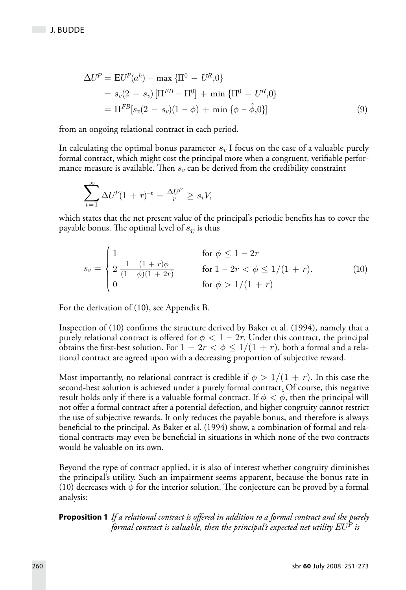$$
\Delta U^{P} = \mathbf{E} U^{P}(a^{h}) - \max \{ \Pi^{0} - U^{R}, 0 \}
$$
  
=  $s_{v}(2 - s_{v}) [\Pi^{FB} - \Pi^{0}] + \min \{ \Pi^{0} - U^{R}, 0 \}$   
=  $\Pi^{FB}[s_{v}(2 - s_{v})(1 - \phi) + \min \{ \phi - \hat{\phi}, 0 \}]$  (9)

from an ongoing relational contract in each period.

In calculating the optimal bonus parameter  $s<sub>v</sub>$  I focus on the case of a valuable purely formal contract, which might cost the principal more when a congruent, verifiable performance measure is available. Then  $s_v$  can be derived from the credibility constraint

$$
\sum_{t=1}^{\infty} \Delta U^{P} (1+r)^{-t} = \frac{\Delta U^{P}}{r} \ge s_{v}V,
$$

which states that the net present value of the principal's periodic benefits has to cover the payable bonus. The optimal level of  $s<sub>v</sub>$ , is thus

$$
s_v = \begin{cases} 1 & \text{for } \phi \le 1 - 2r \\ 2 \frac{1 - (1 + r)\phi}{(1 - \phi)(1 + 2r)} & \text{for } 1 - 2r < \phi \le 1/(1 + r). \\ 0 & \text{for } \phi > 1/(1 + r) \end{cases} \tag{10}
$$

For the derivation of (10), see Appendix B.

Inspection of (10) confirms the structure derived by Baker et al. (1994), namely that a purely relational contract is offered for  $\phi < 1 - 2r$ . Under this contract, the principal obtains the first-best solution. For  $1 - 2r < \phi \leq 1/(1 + r)$ , both a formal and a relational contract are agreed upon with a decreasing proportion of subjective reward.

Most importantly, no relational contract is credible if  $\phi > 1/(1 + r)$ . In this case the second-best solution is achieved under a purely formal contract. Of course, this negative result holds only if there is a valuable formal contract. If  $\phi < \phi$ , then the principal will not offer a formal contract after a potential defection, and higher congruity cannot restrict the use of subjective rewards. It only reduces the payable bonus, and therefore is always beneficial to the principal. As Baker et al. (1994) show, a combination of formal and relational contracts may even be beneficial in situations in which none of the two contracts would be valuable on its own.

Beyond the type of contract applied, it is also of interest whether congruity diminishes the principal's utility. Such an impairment seems apparent, because the bonus rate in (10) decreases with  $\phi$  for the interior solution. The conjecture can be proved by a formal analysis:

**Proposition 1** *If a relational contract is offered in addition to a formal contract and the purely formal contract is valuable, then the principal's expected net utility*  $EU^P$  *is*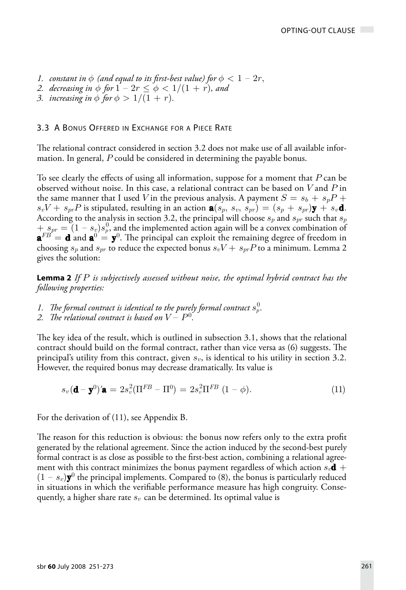- *1. constant in*  $\phi$  *(and equal to its first-best value) for*  $\phi < 1 2r$ ,
- *2. decreasing in*  $\phi$  *for*  $1 2r \le \phi \le 1/(1 + r)$ *, and*
- *3. increasing in*  $\phi$  *for*  $\phi > 1/(1 + r)$ *.*

#### 3.3 A Bonus Offered in Exchange for a Piece Rate

The relational contract considered in section 3.2 does not make use of all available information. In general, P could be considered in determining the payable bonus.

To see clearly the effects of using all information, suppose for a moment that  $P$  can be observed without noise. In this case, a relational contract can be based on  $V$  and  $P$  in the same manner that I used V in the previous analysis. A payment  $S = s_b + s_pP +$  $s_vV + s_{pr}P$  is stipulated, resulting in an action  $\mathbf{a}(s_p, s_v, s_{pr}) = (s_p + s_{pr})\mathbf{y} + s_v\mathbf{d}$ . According to the analysis in section 3.2, the principal will choose  $s_p$  and  $s_{pr}$  such that  $s_p$  $+ s_{pr} = (1 - s_v) s_p^0$ , and the implemented action again will be a convex combination of  $\mathbf{a}^{FB} = \mathbf{d}$  and  $\mathbf{a}^0 = \mathbf{y}^0$ . The principal can exploit the remaining degree of freedom in choosing  $s_p$  and  $s_{pr}$  to reduce the expected bonus  $s_vV + s_{pr}P$  to a minimum. Lemma 2 gives the solution:

**Lemma 2** *If* P *is subjectively assessed without noise, the optimal hybrid contract has the following properties:* 

- 1. The formal contract is identical to the purely formal contract  $s_p^0$ .
- 2. The relational contract is based on  $V P^0$ .

The key idea of the result, which is outlined in subsection 3.1, shows that the relational contract should build on the formal contract, rather than vice versa as (6) suggests. The principal's utility from this contract, given  $s_v$ , is identical to his utility in section 3.2. However, the required bonus may decrease dramatically. Its value is

$$
s_v(\mathbf{d} - \mathbf{y}^0)'\mathbf{a} = 2s_v^2(\Pi^{FB} - \Pi^0) = 2s_v^2\Pi^{FB} (1 - \phi).
$$
 (11)

For the derivation of (11), see Appendix B.

The reason for this reduction is obvious: the bonus now refers only to the extra profit generated by the relational agreement. Since the action induced by the second-best purely formal contract is as close as possible to the first-best action, combining a relational agreement with this contract minimizes the bonus payment regardless of which action  $s_v \mathbf{d}$  +  $(1 - s_v)\mathbf{y}^0$  the principal implements. Compared to (8), the bonus is particularly reduced in situations in which the verifiable performance measure has high congruity. Consequently, a higher share rate  $s_v$  can be determined. Its optimal value is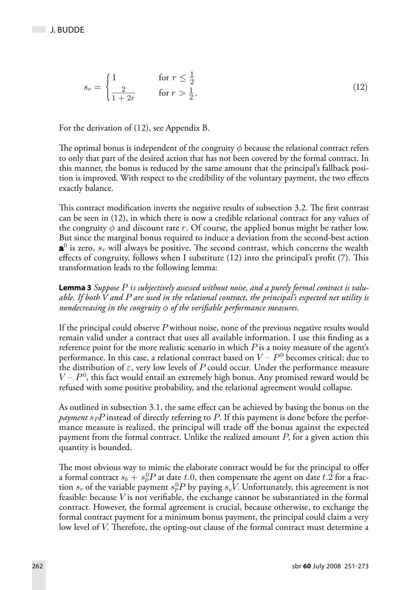$$
s_v = \begin{cases} 1 & \text{for } r \le \frac{1}{2} \\ \frac{2}{1+2r} & \text{for } r > \frac{1}{2} \end{cases} \tag{12}
$$

For the derivation of (12), see Appendix B.

The optimal bonus is independent of the congruity  $\phi$  because the relational contract refers to only that part of the desired action that has not been covered by the formal contract. In this manner, the bonus is reduced by the same amount that the principal's fallback position is improved. With respect to the credibility of the voluntary payment, the two effects exactly balance.

This contract modification inverts the negative results of subsection 3.2. The first contrast can be seen in (12), in which there is now a credible relational contract for any values of the congruity  $\phi$  and discount rate r. Of course, the applied bonus might be rather low. But since the marginal bonus required to induce a deviation from the second-best action  $\mathbf{a}^0$  is zero,  $s_v$  will always be positive. The second contrast, which concerns the wealth effects of congruity, follows when I substitute (12) into the principal's profit (7). This transformation leads to the following lemma:

**Lemma 3** *Suppose* P i*s subjectively assessed without noise, and a purely formal contract is valuable. If both V and* P *are used in the relational contract, the principal's expected net utility is nondecreasing in the congruity* ϕ *of the verifiable performance measures.* 

If the principal could observe P without noise, none of the previous negative results would remain valid under a contract that uses all available information. I use this finding as a reference point for the more realistic scenario in which  $P$  is a noisy measure of the agent's performance. In this case, a relational contract based on  $V - P^0$  becomes critical; due to the distribution of  $\varepsilon$ , very low levels of P could occur. Under the performance measure  $V$  –  $P^0$ , this fact would entail an extremely high bonus. Any promised reward would be refused with some positive probability, and the relational agreement would collapse.

As outlined in subsection 3.1, the same effect can be achieved by basing the bonus on the *payment* s<sub>P</sub>P instead of directly referring to P. If this payment is done before the performance measure is realized, the principal will trade off the bonus against the expected payment from the formal contract. Unlike the realized amount  $P$ , for a given action this quantity is bounded.

The most obvious way to mimic the elaborate contract would be for the principal to offer a formal contract  $s_b + s_p^0 P$  at date  $t.0$ , then compensate the agent on date  $t.\overline{2}$  for a fraction  $s_v$  of the variable payment  $s_p^0 P$  by paying  $s_v \tilde{V}$ . Unfortunately, this agreement is not feasible: because V is not verifiable, the exchange cannot be substantiated in the formal contract. However, the formal agreement is crucial, because otherwise, to exchange the formal contract payment for a minimum bonus payment, the principal could claim a very low level of V*.* Therefore, the opting-out clause of the formal contract must determine a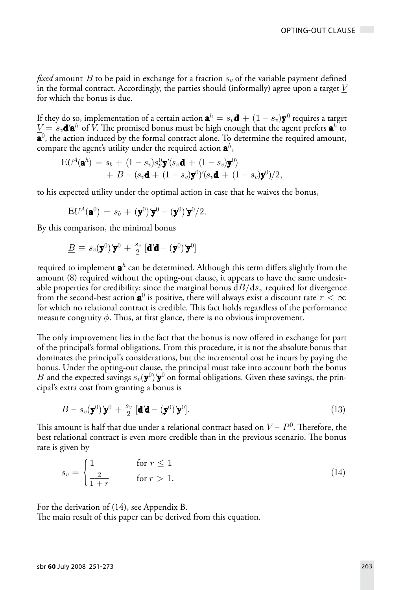*fixed* amount B to be paid in exchange for a fraction  $s_v$  of the variable payment defined in the formal contract. Accordingly, the parties should (informally) agree upon a target  $V$ for which the bonus is due.

If they do so, implementation of a certain action  $\mathbf{a}^h = s_v \mathbf{d} + (1 - s_v)\mathbf{y}^0$  requires a target  $V = s_v \mathbf{d}'\mathbf{a}^h$  of V. The promised bonus must be high enough that the agent prefers  $\mathbf{a}^h$  to **a**<sup>0</sup>, the action induced by the formal contract alone. To determine the required amount, compare the agent's utility under the required action  $\mathbf{a}^h$ ,

$$
EU^A(\mathbf{a}^h) = s_b + (1 - s_v)s_p^0 \mathbf{y}'(s_v \mathbf{d} + (1 - s_v)\mathbf{y}^0)
$$
  
+ 
$$
B - (s_v \mathbf{d} + (1 - s_v)\mathbf{y}^0)'(s_v \mathbf{d} + (1 - s_v)\mathbf{y}^0)/2,
$$

to his expected utility under the optimal action in case that he waives the bonus,

$$
EU^A(\mathbf{a}^0) = s_b + (\mathbf{y}^0)'\mathbf{y}^0 - (\mathbf{y}^0)'\mathbf{y}^0/2.
$$

By this comparison, the minimal bonus

$$
\underline{B} \equiv s_v(\mathbf{y}^0)'\mathbf{y}^0 + \frac{s_v}{2} [\mathbf{d}'\mathbf{d} - (\mathbf{y}^0)'\mathbf{y}^0]
$$

required to implement  $\mathbf{a}^h$  can be determined. Although this term differs slightly from the amount (8) required without the opting-out clause, it appears to have the same undesirable properties for credibility: since the marginal bonus  $dB/ds_v$  required for divergence from the second-best action **a**<sup>0</sup> is positive, there will always exist a discount rate  $r < \infty$ for which no relational contract is credible. This fact holds regardless of the performance measure congruity  $\phi$ . Thus, at first glance, there is no obvious improvement.

The only improvement lies in the fact that the bonus is now offered in exchange for part of the principal's formal obligations. From this procedure, it is not the absolute bonus that dominates the principal's considerations, but the incremental cost he incurs by paying the bonus. Under the opting-out clause, the principal must take into account both the bonus B and the expected savings  $s_v(\mathbf{y}^0)'\mathbf{y}^0$  on formal obligations. Given these savings, the principal's extra cost from granting a bonus is

$$
\underline{B} - s_v(\mathbf{y}^0)'\mathbf{y}^0 + \frac{s_v}{2} [\mathbf{d}'\mathbf{d} - (\mathbf{y}^0)'\mathbf{y}^0].
$$
\n(13)

This amount is half that due under a relational contract based on  $V{\rm -}P^0.$  Therefore, the best relational contract is even more credible than in the previous scenario. The bonus rate is given by

$$
s_v = \begin{cases} 1 & \text{for } r \le 1 \\ \frac{2}{1+r} & \text{for } r > 1. \end{cases} \tag{14}
$$

For the derivation of (14), see Appendix B.

The main result of this paper can be derived from this equation.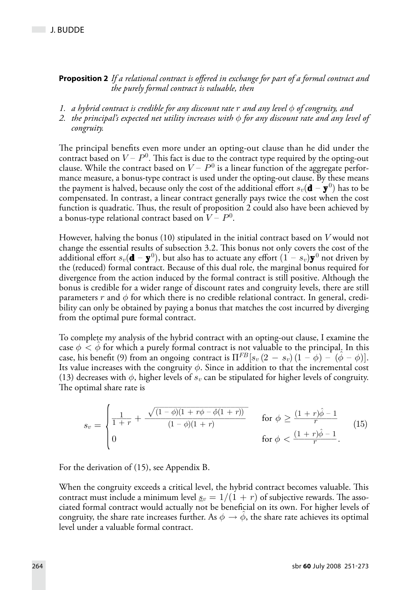#### **Proposition 2** *If a relational contract is offered in exchange for part of a formal contract and the purely formal contract is valuable, then*

- *1. a hybrid contract is credible for any discount rate* r *and any level* ϕ *of congruity, and*
- 2. *the principal's expected net utility increases with*  $\phi$  for any discount rate and any level of *congruity.*

The principal benefits even more under an opting-out clause than he did under the contract based on  $V - P^0$ . This fact is due to the contract type required by the opting-out clause. While the contract based on  $V - P^0$  is a linear function of the aggregate performance measure, a bonus-type contract is used under the opting-out clause. By these means the payment is halved, because only the cost of the additional effort  $s_v(\mathbf{d} - \mathbf{y}^0)$  has to be compensated. In contrast, a linear contract generally pays twice the cost when the cost function is quadratic. Thus, the result of proposition 2 could also have been achieved by a bonus-type relational contract based on  $V - P^0$ .

However, halving the bonus  $(10)$  stipulated in the initial contract based on V would not change the essential results of subsection 3.2. This bonus not only covers the cost of the additional effort  $s_v(\mathbf{d}-\mathbf{y}^0)$ , but also has to actuate any effort  $(1-s_v)\mathbf{y}^0$  not driven by the (reduced) formal contract. Because of this dual role, the marginal bonus required for divergence from the action induced by the formal contract is still positive. Although the bonus is credible for a wider range of discount rates and congruity levels, there are still parameters r and  $\phi$  for which there is no credible relational contract. In general, credibility can only be obtained by paying a bonus that matches the cost incurred by diverging from the optimal pure formal contract.

To complete my analysis of the hybrid contract with an opting-out clause, I examine the case  $\phi < \phi$  for which a purely formal contract is not valuable to the principal. In this case, his benefit (9) from an ongoing contract is  $\Pi^{FB}[s_v(2 - s_v)(1 - \phi) - (\hat{\phi} - \phi)].$ Its value increases with the congruity  $\phi$ . Since in addition to that the incremental cost (13) decreases with  $\phi$ , higher levels of  $s_v$  can be stipulated for higher levels of congruity. The optimal share rate is

ctreases with 
$$
\phi
$$
, higher levels of  $s_v$  can be stipuated for higher levels of the original share rate is

\n
$$
s_v = \begin{cases} \frac{1}{1+r} + \frac{\sqrt{(1-\phi)(1+r\phi-\phi(1+r))}}{(1-\phi)(1+r)} & \text{for } \phi \ge \frac{(1+r)\hat{\phi}-1}{r} \\ 0 & \text{for } \phi < \frac{(1+r)\hat{\phi}-1}{r}. \end{cases} \tag{15}
$$

For the derivation of (15), see Appendix B.

When the congruity exceeds a critical level, the hybrid contract becomes valuable. This contract must include a minimum level  $s_v = 1/(1 + r)$  of subjective rewards. The associated formal contract would actually not be beneficial on its own. For higher levels of congruity, the share rate increases further. As  $\phi \to \phi$ , the share rate achieves its optimal level under a valuable formal contract.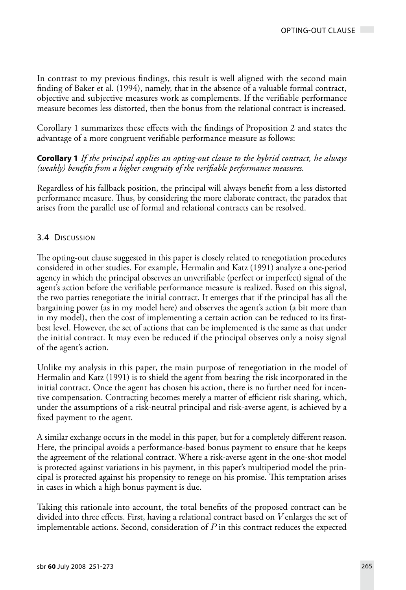In contrast to my previous findings, this result is well aligned with the second main finding of Baker et al. (1994), namely, that in the absence of a valuable formal contract, objective and subjective measures work as complements. If the verifiable performance measure becomes less distorted, then the bonus from the relational contract is increased.

Corollary 1 summarizes these effects with the findings of Proposition 2 and states the advantage of a more congruent verifiable performance measure as follows:

#### **Corollary 1** *If the principal applies an opting-out clause to the hybrid contract, he always (weakly) benefits from a higher congruity of the verifiable performance measures.*

Regardless of his fallback position, the principal will always benefit from a less distorted performance measure. Thus, by considering the more elaborate contract, the paradox that arises from the parallel use of formal and relational contracts can be resolved.

#### 3.4 Discussion

The opting-out clause suggested in this paper is closely related to renegotiation procedures considered in other studies. For example, Hermalin and Katz (1991) analyze a one-period agency in which the principal observes an unverifiable (perfect or imperfect) signal of the agent's action before the verifiable performance measure is realized. Based on this signal, the two parties renegotiate the initial contract. It emerges that if the principal has all the bargaining power (as in my model here) and observes the agent's action (a bit more than in my model), then the cost of implementing a certain action can be reduced to its firstbest level. However, the set of actions that can be implemented is the same as that under the initial contract. It may even be reduced if the principal observes only a noisy signal of the agent's action.

Unlike my analysis in this paper, the main purpose of renegotiation in the model of Hermalin and Katz (1991) is to shield the agent from bearing the risk incorporated in the initial contract. Once the agent has chosen his action, there is no further need for incentive compensation. Contracting becomes merely a matter of efficient risk sharing, which, under the assumptions of a risk-neutral principal and risk-averse agent, is achieved by a fixed payment to the agent.

A similar exchange occurs in the model in this paper, but for a completely different reason. Here, the principal avoids a performance-based bonus payment to ensure that he keeps the agreement of the relational contract. Where a risk-averse agent in the one-shot model is protected against variations in his payment, in this paper's multiperiod model the principal is protected against his propensity to renege on his promise. This temptation arises in cases in which a high bonus payment is due.

Taking this rationale into account, the total benefits of the proposed contract can be divided into three effects. First, having a relational contract based on V enlarges the set of implementable actions. Second, consideration of  $P$  in this contract reduces the expected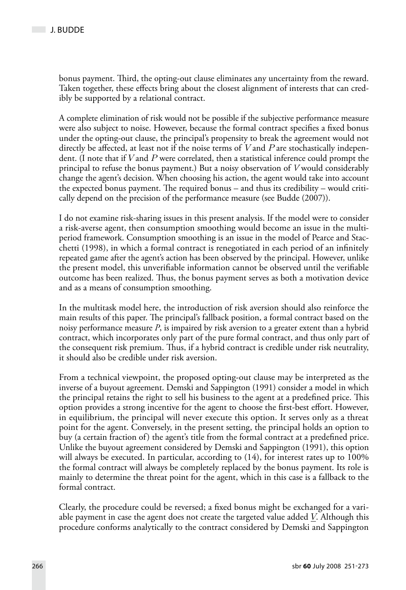bonus payment. Third, the opting-out clause eliminates any uncertainty from the reward. Taken together, these effects bring about the closest alignment of interests that can credibly be supported by a relational contract.

A complete elimination of risk would not be possible if the subjective performance measure were also subject to noise. However, because the formal contract specifies a fixed bonus under the opting-out clause, the principal's propensity to break the agreement would not directly be affected, at least not if the noise terms of  $V$  and  $P$  are stochastically independent. (I note that if V and P were correlated, then a statistical inference could prompt the principal to refuse the bonus payment.) But a noisy observation of *V* would considerably change the agent's decision. When choosing his action, the agent would take into account the expected bonus payment. The required bonus – and thus its credibility – would critically depend on the precision of the performance measure (see Budde (2007)).

I do not examine risk-sharing issues in this present analysis. If the model were to consider a risk-averse agent, then consumption smoothing would become an issue in the multiperiod framework. Consumption smoothing is an issue in the model of Pearce and Stacchetti (1998), in which a formal contract is renegotiated in each period of an infinitely repeated game after the agent's action has been observed by the principal. However, unlike the present model, this unverifiable information cannot be observed until the verifiable outcome has been realized. Thus, the bonus payment serves as both a motivation device and as a means of consumption smoothing.

In the multitask model here, the introduction of risk aversion should also reinforce the main results of this paper. The principal's fallback position, a formal contract based on the noisy performance measure *P*, is impaired by risk aversion to a greater extent than a hybrid contract, which incorporates only part of the pure formal contract, and thus only part of the consequent risk premium. Thus, if a hybrid contract is credible under risk neutrality, it should also be credible under risk aversion.

From a technical viewpoint, the proposed opting-out clause may be interpreted as the inverse of a buyout agreement. Demski and Sappington (1991) consider a model in which the principal retains the right to sell his business to the agent at a predefined price. This option provides a strong incentive for the agent to choose the first-best effort. However, in equilibrium, the principal will never execute this option. It serves only as a threat point for the agent. Conversely, in the present setting, the principal holds an option to buy (a certain fraction of) the agent's title from the formal contract at a predefined price. Unlike the buyout agreement considered by Demski and Sappington (1991), this option will always be executed. In particular, according to (14), for interest rates up to 100% the formal contract will always be completely replaced by the bonus payment. Its role is mainly to determine the threat point for the agent, which in this case is a fallback to the formal contract.

Clearly, the procedure could be reversed; a fixed bonus might be exchanged for a variable payment in case the agent does not create the targeted value added V. Although this procedure conforms analytically to the contract considered by Demski and Sappington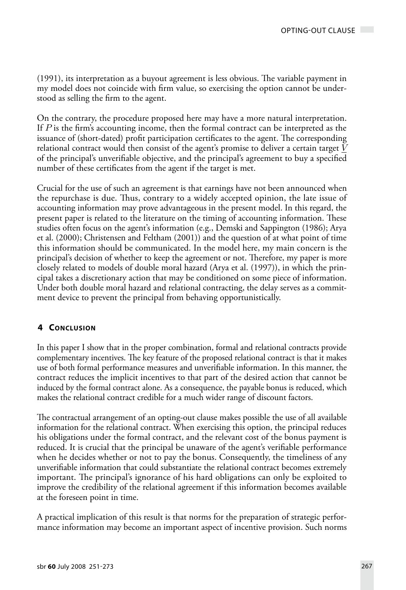(1991), its interpretation as a buyout agreement is less obvious. The variable payment in my model does not coincide with firm value, so exercising the option cannot be understood as selling the firm to the agent.

On the contrary, the procedure proposed here may have a more natural interpretation. If  $P$  is the firm's accounting income, then the formal contract can be interpreted as the issuance of (short-dated) profit participation certificates to the agent. The corresponding relational contract would then consist of the agent's promise to deliver a certain target  $V$ of the principal's unverifiable objective, and the principal's agreement to buy a specified number of these certificates from the agent if the target is met.

Crucial for the use of such an agreement is that earnings have not been announced when the repurchase is due. Thus, contrary to a widely accepted opinion, the late issue of accounting information may prove advantageous in the present model. In this regard, the present paper is related to the literature on the timing of accounting information. These studies often focus on the agent's information (e.g., Demski and Sappington (1986); Arya et al. (2000); Christensen and Feltham (2001)) and the question of at what point of time this information should be communicated. In the model here, my main concern is the principal's decision of whether to keep the agreement or not. Therefore, my paper is more closely related to models of double moral hazard (Arya et al. (1997)), in which the principal takes a discretionary action that may be conditioned on some piece of information. Under both double moral hazard and relational contracting, the delay serves as a commitment device to prevent the principal from behaving opportunistically.

#### **4 Conclusion**

In this paper I show that in the proper combination, formal and relational contracts provide complementary incentives. The key feature of the proposed relational contract is that it makes use of both formal performance measures and unverifiable information. In this manner, the contract reduces the implicit incentives to that part of the desired action that cannot be induced by the formal contract alone. As a consequence, the payable bonus is reduced, which makes the relational contract credible for a much wider range of discount factors.

The contractual arrangement of an opting-out clause makes possible the use of all available information for the relational contract. When exercising this option, the principal reduces his obligations under the formal contract, and the relevant cost of the bonus payment is reduced. It is crucial that the principal be unaware of the agent's verifiable performance when he decides whether or not to pay the bonus. Consequently, the timeliness of any unverifiable information that could substantiate the relational contract becomes extremely important. The principal's ignorance of his hard obligations can only be exploited to improve the credibility of the relational agreement if this information becomes available at the foreseen point in time.

A practical implication of this result is that norms for the preparation of strategic performance information may become an important aspect of incentive provision. Such norms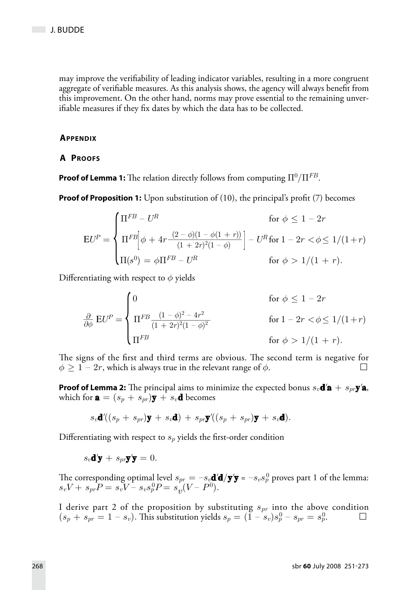may improve the verifiability of leading indicator variables, resulting in a more congruent aggregate of verifiable measures. As this analysis shows, the agency will always benefit from this improvement. On the other hand, norms may prove essential to the remaining unverifiable measures if they fix dates by which the data has to be collected.

#### **Appendix**

#### **A Proofs**

**Proof of Lemma 1:** The relation directly follows from computing  $\Pi^0/\Pi^{FB}.$ 

**Proof of Proposition 1:** Upon substitution of (10), the principal's profit (7) becomes

$$
EU^{P} = \begin{cases} \n\Pi^{FB} - U^{R} & \text{for } \phi \le 1 - 2r \\ \n\Pi^{FB} \Big[ \phi + 4r \frac{(2 - \phi)(1 - \phi(1 + r))}{(1 + 2r)^{2}(1 - \phi)} \Big] - U^{R} \text{ for } 1 - 2r < \phi \le 1/(1 + r) \\ \n\Pi(s^{0}) = \phi \Pi^{FB} - U^{R} & \text{for } \phi > 1/(1 + r). \n\end{cases}
$$

Differentiating with respect to  $\phi$  yields

$$
\frac{\partial}{\partial \phi} \mathbf{E} U^P = \begin{cases}\n0 & \text{for } \phi \le 1 - 2r \\
\prod^{FB} \frac{(1 - \phi)^2 - 4r^2}{(1 + 2r)^2 (1 - \phi)^2} & \text{for } 1 - 2r < \phi \le 1/(1 + r) \\
\prod^{FB} & \text{for } \phi > 1/(1 + r).\n\end{cases}
$$

The signs of the first and third terms are obvious. The second term is negative for  $\phi \geq 1 - 2r$ , which is always true in the relevant range of  $\phi$ .

**Proof of Lemma 2:** The principal aims to minimize the expected bonus  $s_v \mathbf{d}'\mathbf{a} + s_{vr}\mathbf{y}'\mathbf{a}$ , which for  $\mathbf{a} = (s_p + s_{pr})\mathbf{y} + s_v\mathbf{d}$  becomes

$$
s_v\mathbf{d}'((s_p+s_{pr})\mathbf{y}+s_v\mathbf{d})+s_{pr}\mathbf{y}'((s_p+s_{pr})\mathbf{y}+s_v\mathbf{d}).
$$

Differentiating with respect to  $s_p$  yields the first-order condition

$$
s_v \mathbf{d}'\mathbf{y} + s_{pr}\mathbf{y}'\mathbf{y} = 0.
$$

The corresponding optimal level  $s_{pr} = -s_v \mathbf{d}'\mathbf{d}/\mathbf{y}'\mathbf{y} = -s_v s_p^0$  proves part 1 of the lemma:  $s_v V + s_{pr} P = s_v V - s_v s_p^0 P = s_v (V - P^0).$ 

I derive part 2 of the proposition by substituting  $s_{pr}$  into the above condition  $(s_p + s_{pr} = 1 - s_v)$ . This substitution yields  $s_p = (1 - s_v)s_p^0 - s_{pr} = s_p^0$ .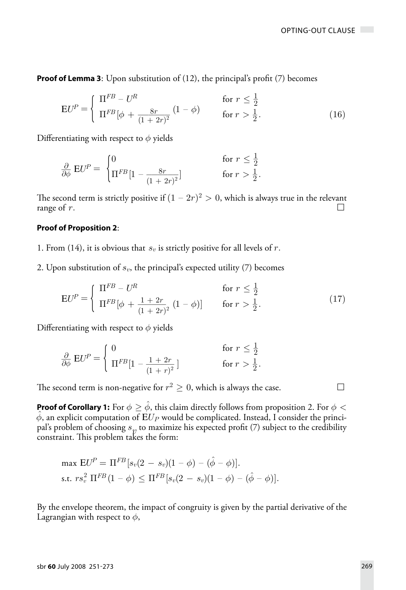**Proof of Lemma 3**: Upon substitution of (12), the principal's profit (7) becomes

$$
EU^{P} = \begin{cases} \n\Pi^{FB} - U^{R} & \text{for } r \leq \frac{1}{2} \\ \n\Pi^{FB} \left[ \phi + \frac{8r}{(1+2r)^{2}} \left( 1 - \phi \right) & \text{for } r > \frac{1}{2}. \n\end{cases}
$$
\n(16)

Differentiating with respect to  $\phi$  yields

$$
\frac{\partial}{\partial \phi} \mathbf{E} U^P = \begin{cases} 0 & \text{for } r \le \frac{1}{2} \\ \Pi^{FB} \left[ 1 - \frac{8r}{(1+2r)^2} \right] & \text{for } r > \frac{1}{2} . \end{cases}
$$

The second term is strictly positive if  $(1 - 2r)^2 > 0$ , which is always true in the relevant range of r range of  $r$ .

#### **Proof of Proposition 2**:

- 1. From (14), it is obvious that  $s_v$  is strictly positive for all levels of r.
- 2. Upon substitution of  $s_v$ , the principal's expected utility (7) becomes

$$
EU^{P} = \begin{cases} \n\Pi^{FB} - U^{R} & \text{for } r \leq \frac{1}{2} \\ \n\Pi^{FB} \left[ \phi + \frac{1 + 2r}{(1 + 2r)^{2}} (1 - \phi) \right] & \text{for } r > \frac{1}{2}. \n\end{cases}
$$
\n(17)

Differentiating with respect to  $\phi$  yields

$$
\frac{\partial}{\partial \phi} \mathbf{E} U^P = \begin{cases} 0 & \text{for } r \le \frac{1}{2} \\ \Pi^{FB} [1 - \frac{1+2r}{(1+r)^2}] & \text{for } r > \frac{1}{2}. \end{cases}
$$

The second term is non-negative for  $r^2 \geq 0$ , which is always the case.

**Proof of Corollary 1:** For  $\phi \geq \hat{\phi}$ , this claim directly follows from proposition 2. For  $\phi$  <  $\ddot{\phi}$ , an explicit computation of  $E U_P$  would be complicated. Instead, I consider the principal's problem of choosing  $s_v$ , to maximize his expected profit (7) subject to the credibility constraint. This problem takes the form:

$$
\begin{aligned} & \max \, \mathrm{E} U^P = \, \Pi^{FB} \, [s_v(2\,-\,s_v)(1\,-\,\phi) \,-\, (\hat{\phi} \,-\, \phi)]. \\ & \text{s.t.} \,\, rs_v^2 \,\, \Pi^{FB} (1\,-\,\phi) \,\leq\, \Pi^{FB} \, [s_v(2\,-\,s_v)(1\,-\,\phi) \,-\, (\hat{\phi} \,-\, \phi)]. \end{aligned}
$$

By the envelope theorem, the impact of congruity is given by the partial derivative of the Lagrangian with respect to  $\phi$ ,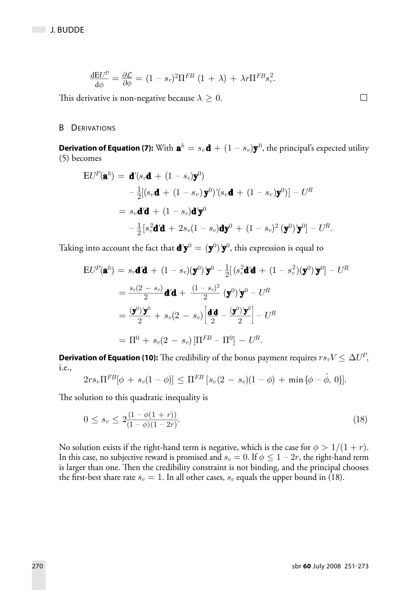$$
\tfrac{\mathrm{d} \mathrm{E} U^P}{\mathrm{d} \phi} = \tfrac{\partial \mathcal{L}}{\partial \phi} = (1-s_v)^2 \Pi^{FB} \ (1\,+\,\lambda) \,+\, \lambda r \Pi^{FB} s_v^{\,2}.
$$

This derivative is non-negative because  $\lambda \geq 0$ .

#### **B** DERIVATIONS

**Derivation of Equation (7):** With  $\mathbf{a}^h = s_v \mathbf{d} + (1 - s_v)\mathbf{y}^0$ , the principal's expected utility (5) becomes

$$
EUp(ah) = d'(svd + (1 - sv)y0)
$$
  
\n
$$
- \frac{1}{2}[(svd + (1 - sv)y0)'(svd + (1 - sv)y0)] - UR
$$
  
\n
$$
= svd'd + (1 - sv)d'y0
$$
  
\n
$$
- \frac{1}{2}[sv2d'd + 2sv(1 - sv)dy0 + (1 - sv)2(y0)'y0] - UR.
$$

Taking into account the fact that  $\mathbf{d}'\mathbf{y}^0 = (\mathbf{y}^0)\mathbf{y}^0$ , this expression is equal to

$$
\begin{split} \mathbf{E}U^{P}(\mathbf{a}^{h}) &= s_{v}\mathbf{d}'\mathbf{d} + (1-s_{v})(\mathbf{y}^{0})'\mathbf{y}^{0} - \frac{1}{2}[(s_{v}^{2}\mathbf{d}'\mathbf{d} + (1-s_{v}^{2})(\mathbf{y}^{0})'\mathbf{y}^{0}] - U^{R} \\ &= \frac{s_{v}(2-s_{v})}{2}\mathbf{d}'\mathbf{d} + \frac{(1-s_{v})^{2}}{2}(\mathbf{y}^{0})'\mathbf{y}^{0} - U^{R} \\ &= \frac{(\mathbf{y}^{0})'\mathbf{y}^{0}}{2} + s_{v}(2-s_{v})\left[\frac{\mathbf{d}'\mathbf{d}}{2} - \frac{(\mathbf{y}^{0})'\mathbf{y}^{0}}{2}\right] - U^{R} \\ &= \Pi^{0} + s_{v}(2-s_{v})\left[\Pi^{FB} - \Pi^{0}\right] - U^{R} .\end{split}
$$

**Derivation of Equation (10):** The credibility of the bonus payment requires  $rs_vV \leq \Delta U^P$ , i.e.,

$$
2rs_v\Pi^{FB}[\phi + s_v(1-\phi)] \leq \Pi^{FB}[s_v(2-s_v)(1-\phi) + \min{\{\phi - \hat{\phi}, 0\}}].
$$

The solution to this quadratic inequality is

lution to this quadratic inequality is  
\n
$$
0 \le s_v \le 2\frac{(1 - \phi(1 + r))}{(1 - \phi)(1 - 2r)}.
$$
\n(18)

No solution exists if the right-hand term is negative, which is the case for  $\phi > 1/(1+r)$ . In this case, no subjective reward is promised and  $s_v = 0$ . If  $\phi \leq 1 - 2r$ , the right-hand term is larger than one. Then the credibility constraint is not binding, and the principal chooses the first-best share rate  $s_v = 1$ . In all other cases,  $s_v$  equals the upper bound in (18).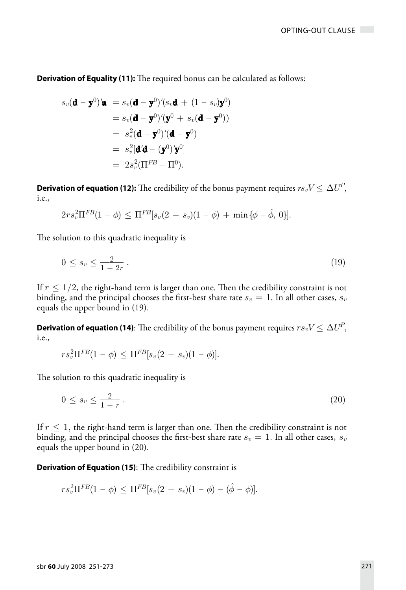**Derivation of Equality (11):** The required bonus can be calculated as follows:

$$
s_v(\mathbf{d} - \mathbf{y}^0)' \mathbf{a} = s_v(\mathbf{d} - \mathbf{y}^0)' (s_v \mathbf{d} + (1 - s_v) \mathbf{y}^0)
$$
  
\n
$$
= s_v(\mathbf{d} - \mathbf{y}^0)' (\mathbf{y}^0 + s_v(\mathbf{d} - \mathbf{y}^0))
$$
  
\n
$$
= s_v^2(\mathbf{d} - \mathbf{y}^0)' (\mathbf{d} - \mathbf{y}^0)
$$
  
\n
$$
= s_v^2[\mathbf{d}'\mathbf{d} - (\mathbf{y}^0)' \mathbf{y}^0]
$$
  
\n
$$
= 2s_v^2(\Pi^{FB} - \Pi^0).
$$

**Derivation of equation (12):** The credibility of the bonus payment requires  $rs_vV \leq \Delta U^P$ , i.e.,

$$
2rs_v^2\Pi^{FB}(1-\phi) \leq \Pi^{FB}[s_v(2-s_v)(1-\phi) + \min{\{\phi-\hat{\phi},0\}}].
$$

The solution to this quadratic inequality is

$$
0 \le s_v \le \frac{2}{1+2r} \,. \tag{19}
$$

If  $r \leq 1/2$ , the right-hand term is larger than one. Then the credibility constraint is not binding, and the principal chooses the first-best share rate  $s_v = 1$ . In all other cases,  $s_v$ equals the upper bound in (19).

**Derivation of equation (14)**: The credibility of the bonus payment requires  $rs_vV \leq \Delta U^P$ , i.e.,

$$
r s_v^2 \Pi^{FB} (1 - \phi) \le \Pi^{FB} [s_v (2 - s_v) (1 - \phi)].
$$

The solution to this quadratic inequality is

$$
0 \le s_v \le \frac{2}{1+r} \,. \tag{20}
$$

If  $r \leq 1$ , the right-hand term is larger than one. Then the credibility constraint is not binding, and the principal chooses the first-best share rate  $s_v = 1$ . In all other cases,  $s_v$ equals the upper bound in (20).

**Derivation of Equation (15)**: The credibility constraint is

$$
r s_v^2 \Pi^{FB} (1-\phi) \leq \Pi^{FB} [s_v (2\,_v)(1-\phi) - (\hat{\phi} - \phi)].
$$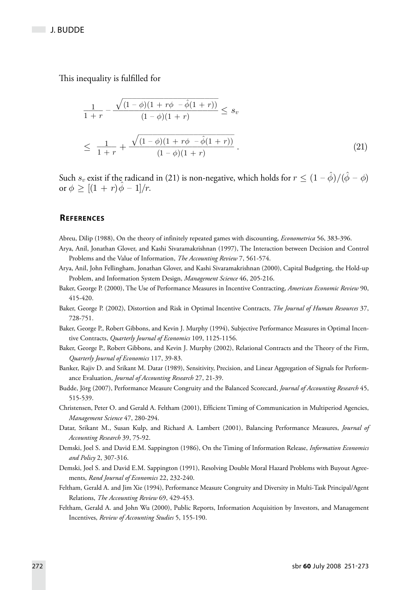This inequality is fulfilled for

$$
\begin{aligned}\n\text{nequality is fulfilled for} \\
\frac{1}{1+r} - \frac{\sqrt{(1-\phi)(1+r\phi - \hat{\phi}(1+r))}}{(1-\phi)(1+r)} &\leq s_v \\
&\leq \frac{1}{1+r} + \frac{\sqrt{(1-\phi)(1+r\phi - \hat{\phi}(1+r))}}{(1-\phi)(1+r)}\n\end{aligned} \tag{21}
$$

Such  $s_v$  exist if the radicand in (21) is non-negative, which holds for  $r \leq (1 - \hat{\phi})/(\hat{\phi} - \phi)$ or  $\phi > [(1 + r)\phi - 1]/r$ .

#### **References**

Abreu, Dilip (1988), On the theory of infinitely repeated games with discounting, *Econometrica* 56, 383-396.

- Arya, Anil, Jonathan Glover, and Kashi Sivaramakrishnan (1997), The Interaction between Decision and Control Problems and the Value of Information, *The Accounting Review* 7, 561-574.
- Arya, Anil, John Fellingham, Jonathan Glover, and Kashi Sivaramakrishnan (2000), Capital Budgeting, the Hold-up Problem, and Information System Design, *Management Science* 46, 205-216.
- Baker, George P. (2000), The Use of Performance Measures in Incentive Contracting, *American Economic Review* 90, 415-420.
- Baker, George P. (2002), Distortion and Risk in Optimal Incentive Contracts, *The Journal of Human Resources* 37, 728-751.
- Baker, George P., Robert Gibbons, and Kevin J. Murphy (1994), Subjective Performance Measures in Optimal Incentive Contracts, *Quarterly Journal of Economics* 109, 1125-1156.
- Baker, George P., Robert Gibbons, and Kevin J. Murphy (2002), Relational Contracts and the Theory of the Firm, *Quarterly Journal of Economics* 117, 39-83.
- Banker, Rajiv D. and Srikant M. Datar (1989), Sensitivity, Precision, and Linear Aggregation of Signals for Performance Evaluation, *Journal of Accounting Research* 27, 21-39.
- Budde, Jörg (2007), Performance Measure Congruity and the Balanced Scorecard, *Journal of Accounting Research* 45, 515-539.
- Christensen, Peter O. and Gerald A. Feltham (2001), Efficient Timing of Communication in Multiperiod Agencies, *Management Science* 47, 280-294.
- Datar, Srikant M., Susan Kulp, and Richard A. Lambert (2001), Balancing Performance Measures, *Journal of Accounting Research* 39, 75-92.
- Demski, Joel S. and David E.M. Sappington (1986), On the Timing of Information Release, *Information Economics and Policy* 2, 307-316.

Demski, Joel S. and David E.M. Sappington (1991), Resolving Double Moral Hazard Problems with Buyout Agreements, *Rand Journal of Economics* 22, 232-240.

- Feltham, Gerald A. and Jim Xie (1994), Performance Measure Congruity and Diversity in Multi-Task Principal/Agent Relations, *The Accounting Review* 69, 429-453.
- Feltham, Gerald A. and John Wu (2000), Public Reports, Information Acquisition by Investors, and Management Incentives, *Review of Accounting Studies* 5, 155-190.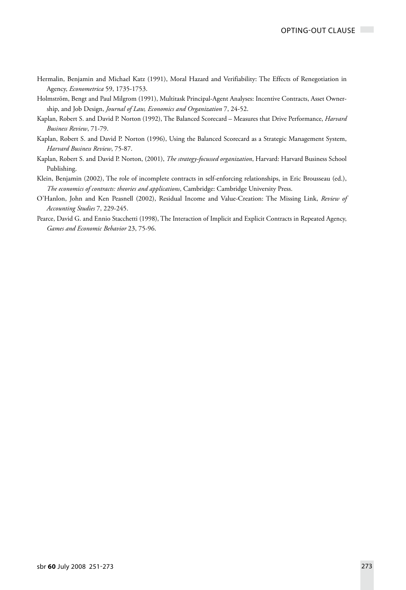- Hermalin, Benjamin and Michael Katz (1991), Moral Hazard and Verifiability: The Effects of Renegotiation in Agency, *Econometrica* 59, 1735-1753.
- Holmström, Bengt and Paul Milgrom (1991), Multitask Principal-Agent Analyses: Incentive Contracts, Asset Ownership, and Job Design, *Journal of Law, Economics and Organization* 7, 24-52.
- Kaplan, Robert S. and David P. Norton (1992), The Balanced Scorecard Measures that Drive Performance, *Harvard Business Review*, 71-79.
- Kaplan, Robert S. and David P. Norton (1996), Using the Balanced Scorecard as a Strategic Management System, *Harvard Business Review*, 75-87.
- Kaplan, Robert S. and David P. Norton, (2001), *The strategy-focussed organization*, Harvard: Harvard Business School Publishing.
- Klein, Benjamin (2002), The role of incomplete contracts in self-enforcing relationships, in Eric Brousseau (ed.), *The economics of contracts: theories and applications*, Cambridge: Cambridge University Press.
- O'Hanlon, John and Ken Peasnell (2002), Residual Income and Value-Creation: The Missing Link, *Review of Accounting Studies* 7, 229-245.
- Pearce, David G. and Ennio Stacchetti (1998), The Interaction of Implicit and Explicit Contracts in Repeated Agency, *Games and Economic Behavior* 23, 75-96.